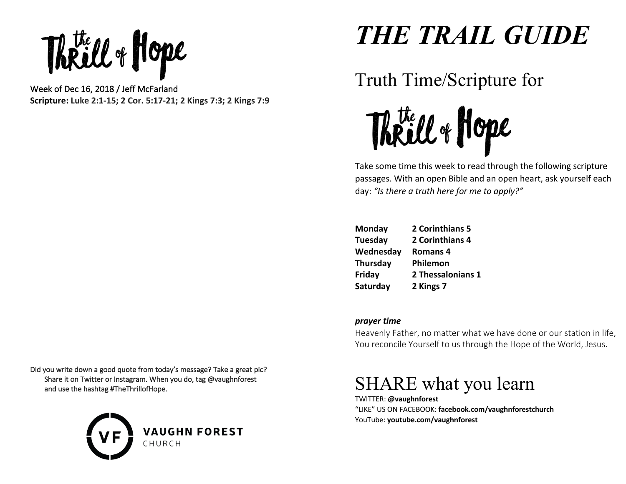Week of Dec 16, 2018 / Jeff McFarland

**Scripture: Luke 2:1-15; 2 Cor. 5:17-21; 2 Kings 7:3; 2 Kings 7:9**

Did you write down a good quote from today's message? Take a great pic? Share it on Twitter or Instagram. When you do, tag @vaughnforest and use the hashtag #TheThrillofHope.



# *THE TRAIL GUIDE*

## Truth Time/Scripture for



Take some time this week to read through the following scripture passages. With an open Bible and an open heart, ask yourself each day: *"Is there a truth here for me to apply?"* 

| Monday    | 2 Corinthians 5   |
|-----------|-------------------|
| Tuesday   | 2 Corinthians 4   |
| Wednesday | <b>Romans 4</b>   |
| Thursday  | Philemon          |
| Friday    | 2 Thessalonians 1 |
| Saturday  | 2 Kings 7         |

#### *prayer time*

Heavenly Father, no matter what we have done or our station in life, You reconcile Yourself to us through the Hope of the World, Jesus.

### SHARE what you learn

TWITTER: **@vaughnforest**  "LIKE" US ON FACEBOOK: **facebook.com/vaughnforestchurch** YouTube: **youtube.com/vaughnforest**